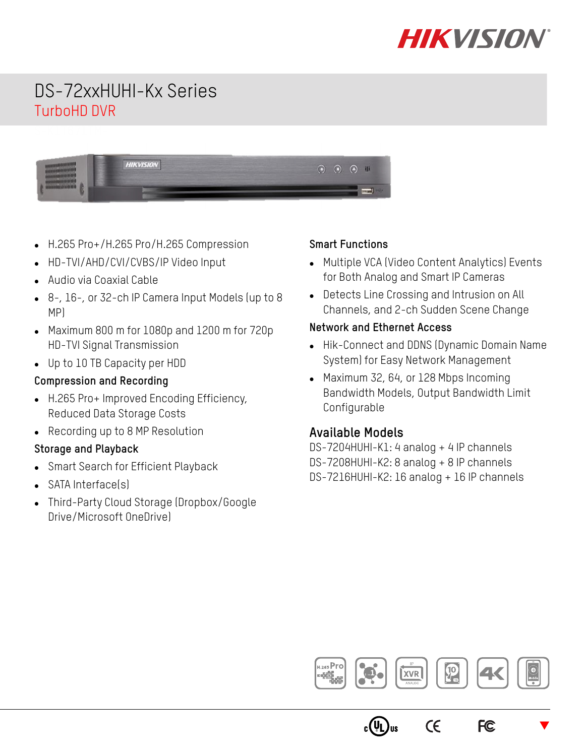

# DS-72xxHUHI-Kx Series TurboHD DVR

| <b>HIKU</b> | ∩ | ∩ |
|-------------|---|---|
| <u>.</u>    | æ | m |
|             |   |   |

- H.265 Pro+/H.265 Pro/H.265 Compression
- HD-TVI/AHD/CVI/CVBS/IP Video Input
- Audio via Coaxial Cable
- 8-, 16-, or 32-ch IP Camera Input Models (up to 8 MP)
- Maximum 800 m for 1080p and 1200 m for 720p HD-TVI Signal Transmission
- Up to 10 TB Capacity per HDD

#### **Compression and Recording**

- H.265 Pro+ Improved Encoding Efficiency, Reduced Data Storage Costs
- Recording up to 8 MP Resolution

#### **Storage and Playback**

- Smart Search for Efficient Playback
- SATA Interface(s)
- Third-Party Cloud Storage (Dropbox/Google Drive/Microsoft OneDrive)

#### **Smart Functions**

- Multiple VCA (Video Content Analytics) Events for Both Analog and Smart IP Cameras
- Detects Line Crossing and Intrusion on All Channels, and 2-ch Sudden Scene Change

#### **Network and Ethernet Access**

- Hik-Connect and DDNS (Dynamic Domain Name System) for Easy Network Management
- Maximum 32, 64, or 128 Mbps Incoming Bandwidth Models, Output Bandwidth Limit Configurable

### **Available Models**

DS-7204HUHI-K1: 4 analog + 4 IP channels DS-7208HUHI-K2: 8 analog + 8 IP channels DS-7216HUHI-K2: 16 analog + 16 IP channels



 $_{\rm c}$ (VL) $_{\rm us}$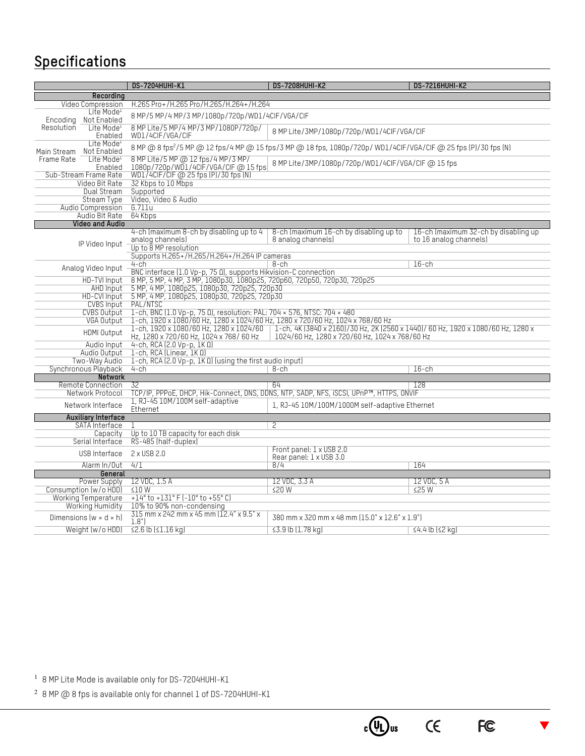# **Specifications**

|                                                                                                                                                             |                                       | <b>DS-7204HUHI-K1</b>                                                                                                                                                                                                 | <b>DS-7208HUHI-K2</b>                                                                   | <b>DS-7216HUHI-K2</b>                                          |  |  |
|-------------------------------------------------------------------------------------------------------------------------------------------------------------|---------------------------------------|-----------------------------------------------------------------------------------------------------------------------------------------------------------------------------------------------------------------------|-----------------------------------------------------------------------------------------|----------------------------------------------------------------|--|--|
|                                                                                                                                                             | Recording                             |                                                                                                                                                                                                                       |                                                                                         |                                                                |  |  |
|                                                                                                                                                             | Video Compression                     | H.265 Pro+/H.265 Pro/H.265/H.264+/H.264                                                                                                                                                                               |                                                                                         |                                                                |  |  |
| Encoding                                                                                                                                                    | Lite Mode <sup>1</sup><br>Not Enabled | 8 MP/5 MP/4 MP/3 MP/1080p/720p/WD1/4CIF/VGA/CIF                                                                                                                                                                       |                                                                                         |                                                                |  |  |
| Resolution                                                                                                                                                  | Lite Mode <sup>1</sup><br>Enabled     | 8 MP Lite/5 MP/4 MP/3 MP/1080P/720p/<br>WD1/4CIF/VGA/CIF                                                                                                                                                              | 8 MP Lite/3MP/1080p/720p/WD1/4CIF/VGA/CIF                                               |                                                                |  |  |
| Lite Mode <sup>1</sup><br>Not Enabled<br>Main Stream                                                                                                        |                                       | 8 MP @ 8 fps <sup>2</sup> /5 MP @ 12 fps/4 MP @ 15 fps/3 MP @ 18 fps, 1080p/720p/ WD1/4ClF/VGA/ClF @ 25 fps (P)/30 fps (N)                                                                                            |                                                                                         |                                                                |  |  |
| Frame Rate                                                                                                                                                  | Lite Mode <sup>1</sup><br>Enabled     | 8 MP Lite/5 MP @ 12 fps/4 MP/3 MP/<br>8 MP Lite/3MP/1080p/720p/WD1/4CIF/VGA/CIF @ 15 fps<br>1080p/720p/WD1/4ClF/VGA/ClF@15fps                                                                                         |                                                                                         |                                                                |  |  |
|                                                                                                                                                             | Sub-Stream Frame Rate                 | WD1/4CIF/CIF @ 25 fps (P)/30 fps (N)                                                                                                                                                                                  |                                                                                         |                                                                |  |  |
|                                                                                                                                                             | Video Bit Rate                        | 32 Kbps to 10 Mbps                                                                                                                                                                                                    |                                                                                         |                                                                |  |  |
|                                                                                                                                                             | Dual Stream                           | Supported                                                                                                                                                                                                             |                                                                                         |                                                                |  |  |
|                                                                                                                                                             | <b>Stream Type</b>                    | Video, Video & Audio                                                                                                                                                                                                  |                                                                                         |                                                                |  |  |
|                                                                                                                                                             | Audio Compression                     | 6.711u                                                                                                                                                                                                                |                                                                                         |                                                                |  |  |
|                                                                                                                                                             | Audio Bit Rate                        | 64 Kbps                                                                                                                                                                                                               |                                                                                         |                                                                |  |  |
|                                                                                                                                                             | <b>Video and Audio</b>                |                                                                                                                                                                                                                       |                                                                                         |                                                                |  |  |
|                                                                                                                                                             | IP Video Input                        | 4-ch (maximum 8-ch by disabling up to 4<br>analog channels)                                                                                                                                                           | 8-ch (maximum 16-ch by disabling up to<br>8 analog channels)                            | 16-ch (maximum 32-ch by disabling up<br>to 16 analog channels) |  |  |
|                                                                                                                                                             |                                       | Up to 8 MP resolution                                                                                                                                                                                                 |                                                                                         |                                                                |  |  |
|                                                                                                                                                             |                                       | Supports H.265+/H.265/H.264+/H.264 IP cameras                                                                                                                                                                         |                                                                                         |                                                                |  |  |
|                                                                                                                                                             | Analog Video Input                    | 4-ch                                                                                                                                                                                                                  | 8-ch                                                                                    | $16$ -ch                                                       |  |  |
| BNC interface (1.0 Vp-p, 75 0), supports Hikvision-C connection<br>8 МР, 5 МР, 4 МР, 3 МР, 1080р30, 1080р25, 720р60, 720р50, 720р30, 720р25<br>HD-TVI Input |                                       |                                                                                                                                                                                                                       |                                                                                         |                                                                |  |  |
|                                                                                                                                                             | <b>AHD Input</b>                      | 5 МР, 4 МР, 1080р25, 1080р30, 720р25, 720р30                                                                                                                                                                          |                                                                                         |                                                                |  |  |
|                                                                                                                                                             | HD-CVI Input                          | 5 MP, 4 MP, 1080p25, 1080p30, 720p25, 720p30                                                                                                                                                                          |                                                                                         |                                                                |  |  |
|                                                                                                                                                             | <b>CVBS Input</b>                     | PAL/NTSC                                                                                                                                                                                                              |                                                                                         |                                                                |  |  |
|                                                                                                                                                             | <b>CVBS Output</b>                    | 1-ch, BNC (1.0 Vp-p, 75 0), resolution: PAL: 704 × 576, NTSC: 704 × 480                                                                                                                                               |                                                                                         |                                                                |  |  |
|                                                                                                                                                             | VGA Output                            | 1-ch, 1920 x 1080/60 Hz, 1280 x 1024/60 Hz, 1280 x 720/60 Hz, 1024 x 768/60 Hz                                                                                                                                        |                                                                                         |                                                                |  |  |
|                                                                                                                                                             | HDMI 0utput                           | 1-ch, 1920 x 1080/60 Hz, 1280 x 1024/60   1-ch, 4K (3840 x 2160)/30 Hz, 2K (2560 x 1440)/60 Hz, 1920 x 1080/60 Hz, 1280 x<br>1024/60 Hz, 1280 x 720/60 Hz, 1024 x 768/60 Hz<br>Hz, 1280 x 720/60 Hz, 1024 x 768/60 Hz |                                                                                         |                                                                |  |  |
|                                                                                                                                                             | Audio Input                           | $4$ -ch, RCA (2.0 Vp-p, 1K $\Omega$ )                                                                                                                                                                                 |                                                                                         |                                                                |  |  |
|                                                                                                                                                             | Audio Output                          | 1-ch, RCA (Linear, 1K 0)                                                                                                                                                                                              |                                                                                         |                                                                |  |  |
|                                                                                                                                                             | Two-Way Audio                         | 1-ch, RCA (2.0 Vp-p, 1ΚΩ) (using the first audio input)                                                                                                                                                               |                                                                                         |                                                                |  |  |
|                                                                                                                                                             | Synchronous Playback                  | $4$ -ch                                                                                                                                                                                                               | 8-ch                                                                                    | $16$ -ch                                                       |  |  |
|                                                                                                                                                             | Network                               |                                                                                                                                                                                                                       |                                                                                         |                                                                |  |  |
|                                                                                                                                                             | Remote Connection                     | 32                                                                                                                                                                                                                    | 64                                                                                      | 128                                                            |  |  |
|                                                                                                                                                             | Network Protocol                      |                                                                                                                                                                                                                       | TCP/IP, PPPoE, DHCP, Hik-Connect, DNS, DDNS, NTP, SADP, NFS, iSCSI, UPnP™, HTTPS, ONVIF |                                                                |  |  |
|                                                                                                                                                             | Network Interface                     | 1, RJ-45 10M/100M self-adaptive<br>Ethernet                                                                                                                                                                           | 1, RJ-45 10M/100M/1000M self-adaptive Ethernet                                          |                                                                |  |  |
|                                                                                                                                                             | <b>Auxiliary Interface</b>            |                                                                                                                                                                                                                       |                                                                                         |                                                                |  |  |
|                                                                                                                                                             | SATA Interface                        |                                                                                                                                                                                                                       | 2                                                                                       |                                                                |  |  |
|                                                                                                                                                             | Capacity                              | Up to 10 TB capacity for each disk                                                                                                                                                                                    |                                                                                         |                                                                |  |  |
|                                                                                                                                                             | Serial Interface                      | RS-485 (half-duplex)                                                                                                                                                                                                  |                                                                                         |                                                                |  |  |
|                                                                                                                                                             | USB Interface                         | 2 x USB 2.0                                                                                                                                                                                                           | Front panel: 1 x USB 2.0<br>Rear panel: 1 x USB 3.0                                     |                                                                |  |  |
|                                                                                                                                                             | Alarm In/Out                          | 4/1                                                                                                                                                                                                                   | 8/4                                                                                     | 164                                                            |  |  |
|                                                                                                                                                             | General                               |                                                                                                                                                                                                                       |                                                                                         |                                                                |  |  |
|                                                                                                                                                             | Power Supply                          | 12 VDC, 1.5 A                                                                                                                                                                                                         | 12 VDC, 3.3 A                                                                           | 12 VDC, 5 A                                                    |  |  |
|                                                                                                                                                             | Consumption (w/o HDD)                 | $\leq 10$ W                                                                                                                                                                                                           | ≤20 W                                                                                   | ≤25W                                                           |  |  |
|                                                                                                                                                             | <b>Working Temperature</b>            | $+14^{\circ}$ to $+131^{\circ}$ F (-10 $^{\circ}$ to $+55^{\circ}$ C)                                                                                                                                                 |                                                                                         |                                                                |  |  |
|                                                                                                                                                             | Working Humidity                      | 10% to 90% non-condensing                                                                                                                                                                                             |                                                                                         |                                                                |  |  |
|                                                                                                                                                             | Dimensions $(w \times d \times h)$    | 315 mm x 242 mm x 45 mm (12.4" x 9.5" x<br>1.8"                                                                                                                                                                       | 380 mm x 320 mm x 48 mm (15.0" x 12.6" x 1.9")                                          |                                                                |  |  |
|                                                                                                                                                             | Weight (w/o HDD)                      | $\leq$ 2.6 lb $\leq$ 1.16 kg)                                                                                                                                                                                         | $\leq$ 3.9 lb (1.78 kg)                                                                 | $\leq$ 4.4 lb ( $\leq$ 2 kg)                                   |  |  |

 $\blacktriangledown$ 

 $c$  (Up) us

 $C \in$ 

FC

<sup>1</sup> 8 MP Lite Mode is available only for DS-7204HUHI-K1

 $2$  8 MP  $@$  8 fps is available only for channel 1 of DS-7204HUHI-K1